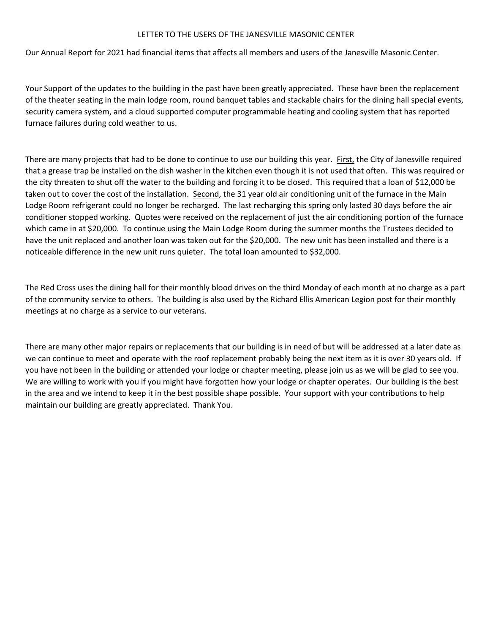## LETTER TO THE USERS OF THE JANESVILLE MASONIC CENTER

Our Annual Report for 2021 had financial items that affects all members and users of the Janesville Masonic Center.

Your Support of the updates to the building in the past have been greatly appreciated. These have been the replacement of the theater seating in the main lodge room, round banquet tables and stackable chairs for the dining hall special events, security camera system, and a cloud supported computer programmable heating and cooling system that has reported furnace failures during cold weather to us.

There are many projects that had to be done to continue to use our building this year. First, the City of Janesville required that a grease trap be installed on the dish washer in the kitchen even though it is not used that often. This was required or the city threaten to shut off the water to the building and forcing it to be closed. This required that a loan of \$12,000 be taken out to cover the cost of the installation. Second, the 31 year old air conditioning unit of the furnace in the Main Lodge Room refrigerant could no longer be recharged. The last recharging this spring only lasted 30 days before the air conditioner stopped working. Quotes were received on the replacement of just the air conditioning portion of the furnace which came in at \$20,000. To continue using the Main Lodge Room during the summer months the Trustees decided to have the unit replaced and another loan was taken out for the \$20,000. The new unit has been installed and there is a noticeable difference in the new unit runs quieter. The total loan amounted to \$32,000.

The Red Cross uses the dining hall for their monthly blood drives on the third Monday of each month at no charge as a part of the community service to others. The building is also used by the Richard Ellis American Legion post for their monthly meetings at no charge as a service to our veterans.

There are many other major repairs or replacements that our building is in need of but will be addressed at a later date as we can continue to meet and operate with the roof replacement probably being the next item as it is over 30 years old. If you have not been in the building or attended your lodge or chapter meeting, please join us as we will be glad to see you. We are willing to work with you if you might have forgotten how your lodge or chapter operates. Our building is the best in the area and we intend to keep it in the best possible shape possible. Your support with your contributions to help maintain our building are greatly appreciated. Thank You.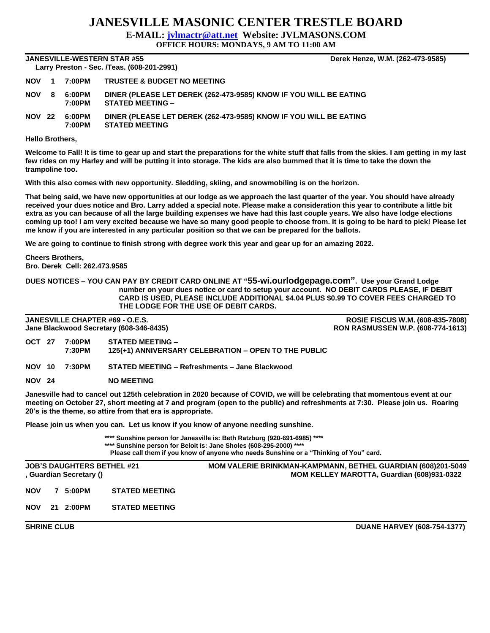## **JANESVILLE MASONIC CENTER TRESTLE BOARD**

**E-MAIL: [jvlmactr@att.net](mailto:jvlmactr@att.net) Website: JVLMASONS.COM**

**OFFICE HOURS: MONDAYS, 9 AM TO 11:00 AM**

**JANESVILLE-WESTERN STAR #55 Derek Henze, W.M. (262-473-9585) Larry Preston - Sec. /Teas. (608-201-2991)** 

| Larry Preston - Sec. / reas. (606-201-2991) |                |                  |                                                                                              |  |  |  |  |  |  |
|---------------------------------------------|----------------|------------------|----------------------------------------------------------------------------------------------|--|--|--|--|--|--|
| <b>NOV</b>                                  | $\blacksquare$ | 7:00PM           | <b>TRUSTEE &amp; BUDGET NO MEETING</b>                                                       |  |  |  |  |  |  |
| <b>NOV</b>                                  | - 8            | 6:00PM<br>7:00PM | DINER (PLEASE LET DEREK (262-473-9585) KNOW IF YOU WILL BE EATING<br><b>STATED MEETING -</b> |  |  |  |  |  |  |
| <b>NOV 22</b>                               |                | 6:00PM<br>7:00PM | DINER (PLEASE LET DEREK (262-473-9585) KNOW IF YOU WILL BE EATING<br><b>STATED MEETING</b>   |  |  |  |  |  |  |

**Hello Brothers,**

**Welcome to Fall! It is time to gear up and start the preparations for the white stuff that falls from the skies. I am getting in my last few rides on my Harley and will be putting it into storage. The kids are also bummed that it is time to take the down the trampoline too.**

**With this also comes with new opportunity. Sledding, skiing, and snowmobiling is on the horizon.**

**That being said, we have new opportunities at our lodge as we approach the last quarter of the year. You should have already received your dues notice and Bro. Larry added a special note. Please make a consideration this year to contribute a little bit extra as you can because of all the large building expenses we have had this last couple years. We also have lodge elections coming up too! I am very excited because we have so many good people to choose from. It is going to be hard to pick! Please let me know if you are interested in any particular position so that we can be prepared for the ballots.**

**We are going to continue to finish strong with degree work this year and gear up for an amazing 2022.**

**Cheers Brothers, Bro. Derek Cell: 262.473.9585**

**DUES NOTICES – YOU CAN PAY BY CREDIT CARD ONLINE AT "55-wi.ourlodgepage.com". Use your Grand Lodge number on your dues notice or card to setup your account. NO DEBIT CARDS PLEASE, IF DEBIT CARD IS USED, PLEASE INCLUDE ADDITIONAL \$4.04 PLUS \$0.99 TO COVER FEES CHARGED TO THE LODGE FOR THE USE OF DEBIT CARDS.**

**Jane Blackwood Secretary (608-346-8435) RON RASMUSSEN W.P. (608-774-1613)**

**JANESVILLE CHAPTER #69 - O.E.S. ROSIE FISCUS W.M. (608-835-7808)**

- **OCT 27 7:00PM STATED MEETING – 7:30PM 125(+1) ANNIVERSARY CELEBRATION – OPEN TO THE PUBLIC**
- **NOV 10 7:30PM STATED MEETING – Refreshments – Jane Blackwood**
- **NOV 24 NO MEETING**

**Janesville had to cancel out 125th celebration in 2020 because of COVID, we will be celebrating that momentous event at our meeting on October 27, short meeting at 7 and program (open to the public) and refreshments at 7:30. Please join us. Roaring 20's is the theme, so attire from that era is appropriate.** 

**Please join us when you can. Let us know if you know of anyone needing sunshine.**

**\*\*\*\* Sunshine person for Janesville is: Beth Ratzburg (920-691-6985) \*\*\*\* \*\*\*\* Sunshine person for Beloit is: Jane Sholes (608-295-2000) \*\*\*\* Please call them if you know of anyone who needs Sunshine or a "Thinking of You" card.**

**JOB'S DAUGHTERS BETHEL #21 MOM VALERIE BRINKMAN-KAMPMANN, BETHEL GUARDIAN (608)201-5049 , Guardian Secretary () MOM KELLEY MAROTTA, Guardian (608)931-0322 NOV 7 5:00PM STATED MEETING NOV 21 2:00PM STATED MEETING**

**SHRINE CLUB CLUB CLUB DUANE HARVEY (608-754-1377)**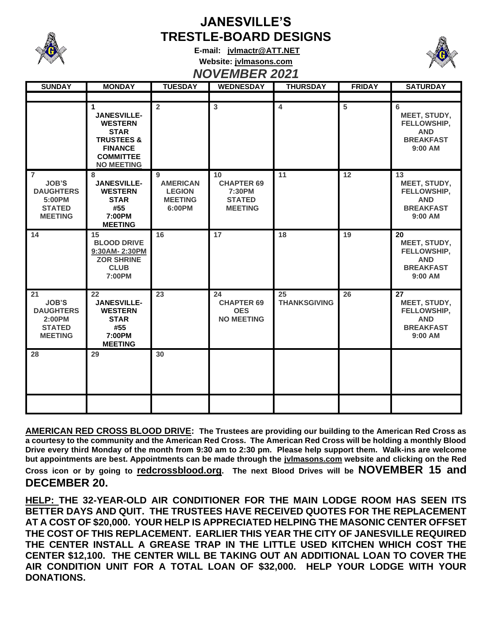

## **JANESVILLE'S TRESTLE-BOARD DESIGNS**

**E-mail: [jvlmactr@ATT.NET](mailto:jvlmactr@ATT.NET) Website: jvlmasons.com** *NOVEMBER 2021*



| <b>SUNDAY</b>                                                                                   | <b>MONDAY</b>                                                                                                                                | <b>TUESDAY</b>                                                    | ITV TEINDER EVE I<br><b>WEDNESDAY</b>                                | <b>THURSDAY</b>           | <b>FRIDAY</b> | <b>SATURDAY</b>                                                                |
|-------------------------------------------------------------------------------------------------|----------------------------------------------------------------------------------------------------------------------------------------------|-------------------------------------------------------------------|----------------------------------------------------------------------|---------------------------|---------------|--------------------------------------------------------------------------------|
|                                                                                                 |                                                                                                                                              |                                                                   |                                                                      |                           |               |                                                                                |
|                                                                                                 | 1<br><b>JANESVILLE-</b><br><b>WESTERN</b><br><b>STAR</b><br><b>TRUSTEES &amp;</b><br><b>FINANCE</b><br><b>COMMITTEE</b><br><b>NO MEETING</b> | $\overline{2}$                                                    | $\mathbf{3}$                                                         | $\overline{4}$            | 5             | 6<br>MEET, STUDY,<br>FELLOWSHIP,<br><b>AND</b><br><b>BREAKFAST</b><br>9:00 AM  |
| $\overline{7}$<br><b>JOB'S</b><br><b>DAUGHTERS</b><br>5:00PM<br><b>STATED</b><br><b>MEETING</b> | 8<br><b>JANESVILLE-</b><br><b>WESTERN</b><br><b>STAR</b><br>#55<br>7:00PM<br><b>MEETING</b>                                                  | 9<br><b>AMERICAN</b><br><b>LEGION</b><br><b>MEETING</b><br>6:00PM | 10<br><b>CHAPTER 69</b><br>7:30PM<br><b>STATED</b><br><b>MEETING</b> | 11                        | 12            | 13<br>MEET, STUDY,<br>FELLOWSHIP,<br><b>AND</b><br><b>BREAKFAST</b><br>9:00 AM |
| 14                                                                                              | 15<br><b>BLOOD DRIVE</b><br>9:30AM-2:30PM<br><b>ZOR SHRINE</b><br><b>CLUB</b><br>7:00PM                                                      | 16                                                                | 17                                                                   | 18                        | 19            | 20<br>MEET, STUDY,<br>FELLOWSHIP,<br><b>AND</b><br><b>BREAKFAST</b><br>9:00 AM |
| 21<br><b>JOB'S</b><br><b>DAUGHTERS</b><br>2:00PM<br><b>STATED</b><br><b>MEETING</b>             | 22<br><b>JANESVILLE-</b><br><b>WESTERN</b><br><b>STAR</b><br>#55<br>7:00PM<br><b>MEETING</b>                                                 | 23                                                                | 24<br><b>CHAPTER 69</b><br><b>OES</b><br><b>NO MEETING</b>           | 25<br><b>THANKSGIVING</b> | 26            | 27<br>MEET, STUDY,<br>FELLOWSHIP,<br><b>AND</b><br><b>BREAKFAST</b><br>9:00 AM |
| 28                                                                                              | 29                                                                                                                                           | 30                                                                |                                                                      |                           |               |                                                                                |
|                                                                                                 |                                                                                                                                              |                                                                   |                                                                      |                           |               |                                                                                |

**AMERICAN RED CROSS BLOOD DRIVE: The Trustees are providing our building to the American Red Cross as a courtesy to the community and the American Red Cross. The American Red Cross will be holding a monthly Blood Drive every third Monday of the month from 9:30 am to 2:30 pm. Please help support them. Walk-ins are welcome but appointments are best. Appointments can be made through the jvlmasons.com website and clicking on the Red Cross icon or by going to redcrossblood.org. The next Blood Drives will be NOVEMBER 15 and DECEMBER 20.** 

**HELP: THE 32-YEAR-OLD AIR CONDITIONER FOR THE MAIN LODGE ROOM HAS SEEN ITS BETTER DAYS AND QUIT. THE TRUSTEES HAVE RECEIVED QUOTES FOR THE REPLACEMENT AT A COST OF \$20,000. YOUR HELP IS APPRECIATED HELPING THE MASONIC CENTER OFFSET THE COST OF THIS REPLACEMENT. EARLIER THIS YEAR THE CITY OF JANESVILLE REQUIRED THE CENTER INSTALL A GREASE TRAP IN THE LITTLE USED KITCHEN WHICH COST THE CENTER \$12,100. THE CENTER WILL BE TAKING OUT AN ADDITIONAL LOAN TO COVER THE AIR CONDITION UNIT FOR A TOTAL LOAN OF \$32,000. HELP YOUR LODGE WITH YOUR DONATIONS.**